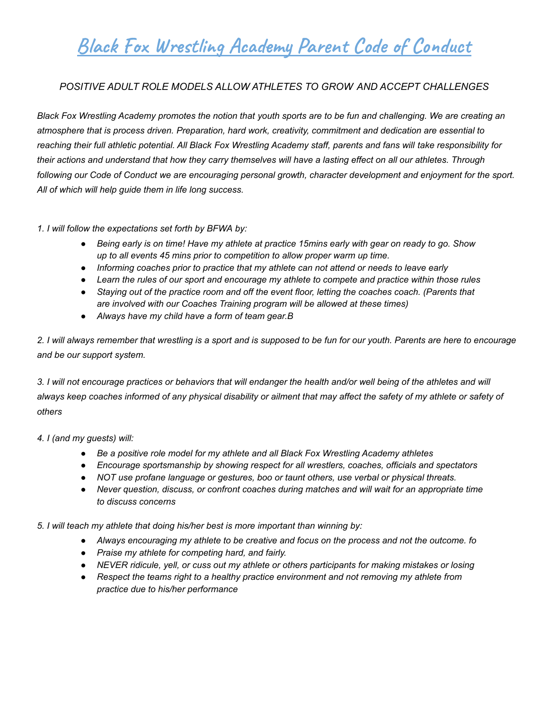# **Black Fox Wrestling Academy Parent Code of Conduct**

#### *POSITIVE ADULT ROLE MODELS ALLOW ATHLETES TO GROW AND ACCEPT CHALLENGES*

Black Fox Wrestling Academy promotes the notion that youth sports are to be fun and challenging. We are creating an *atmosphere that is process driven. Preparation, hard work, creativity, commitment and dedication are essential to* reaching their full athletic potential. All Black Fox Wrestling Academy staff, parents and fans will take responsibility for their actions and understand that how they carry themselves will have a lasting effect on all our athletes. Through following our Code of Conduct we are encouraging personal growth, character development and enjoyment for the sport. *All of which will help guide them in life long success.*

*1. I will follow the expectations set forth by BFWA by:*

- Being early is on time! Have my athlete at practice 15mins early with gear on ready to go. Show *up to all events 45 mins prior to competition to allow proper warm up time.*
- *● Informing coaches prior to practice that my athlete can not attend or needs to leave early*
- *● Learn the rules of our sport and encourage my athlete to compete and practice within those rules*
- Staying out of the practice room and off the event floor, letting the coaches coach. (Parents that *are involved with our Coaches Training program will be allowed at these times)*
- *● Always have my child have a form of team gear.B*

2. I will always remember that wrestling is a sport and is supposed to be fun for our youth. Parents are here to encourage *and be our support system.*

3. I will not encourage practices or behaviors that will endanger the health and/or well being of the athletes and will always keep coaches informed of any physical disability or ailment that may affect the safety of my athlete or safety of *others*

*4. I (and my guests) will:*

- *● Be a positive role model for my athlete and all Black Fox Wrestling Academy athletes*
- *● Encourage sportsmanship by showing respect for all wrestlers, coaches, officials and spectators*
- *● NOT use profane language or gestures, boo or taunt others, use verbal or physical threats.*
- *● Never question, discuss, or confront coaches during matches and will wait for an appropriate time to discuss concerns*

*5. I will teach my athlete that doing his/her best is more important than winning by:*

- *● Always encouraging my athlete to be creative and focus on the process and not the outcome. fo*
- *● Praise my athlete for competing hard, and fairly.*
- *● NEVER ridicule, yell, or cuss out my athlete or others participants for making mistakes or losing*
- *● Respect the teams right to a healthy practice environment and not removing my athlete from practice due to his/her performance*